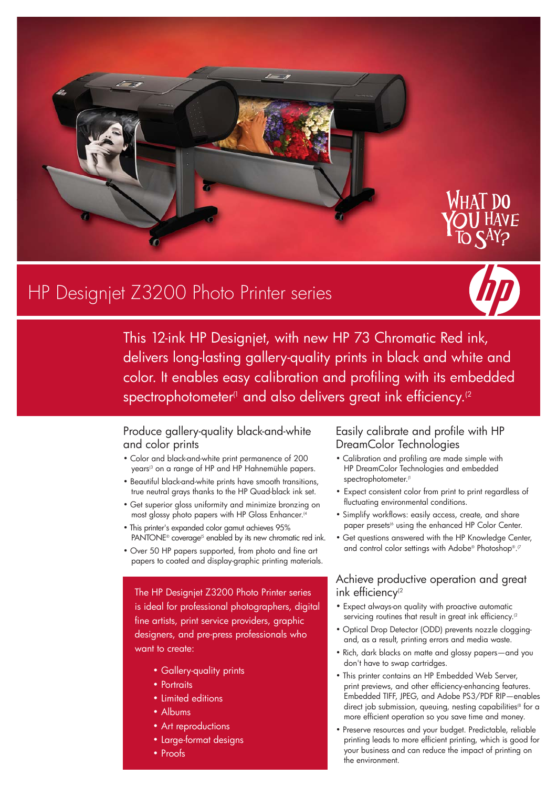

# HP Designjet Z3200 Photo Printer series



This 12-ink HP Designjet, with new HP 73 Chromatic Red ink, delivers long-lasting gallery-quality prints in black and white and color. It enables easy calibration and profiling with its embedded spectrophotometer<sup>(1</sup> and also delivers great ink efficiency.<sup>(2</sup>

#### Produce gallery-quality black-and-white and color prints

- Color and black-and-white print permanence of 200 years<sup>(3</sup> on a range of HP and HP Hahnemühle papers.
- Beautiful black-and-white prints have smooth transitions, true neutral grays thanks to the HP Quad-black ink set.
- Get superior gloss uniformity and minimize bronzing on most glossy photo papers with HP Gloss Enhancer.<sup>(4</sup>
- This printer's expanded color gamut achieves 95% PANTONE® coverage<sup>(5</sup> enabled by its new chromatic red ink.
- Over 50 HP papers supported, from photo and fine art papers to coated and display-graphic printing materials.

The HP Designjet Z3200 Photo Printer series is ideal for professional photographers, digital fine artists, print service providers, graphic designers, and pre-press professionals who want to create:

- Gallery-quality prints
- Portraits
- Limited editions
- Albums
- Art reproductions
- Large-format designs
- Proofs

### Easily calibrate and profile with HP DreamColor Technologies

- Calibration and profiling are made simple with HP DreamColor Technologies and embedded spectrophotometer.<sup>(1</sup>
- Expect consistent color from print to print regardless of fluctuating environmental conditions.
- Simplify workflows: easily access, create, and share paper presets<sup>(6</sup> using the enhanced HP Color Center.
- Get questions answered with the HP Knowledge Center, and control color settings with Adobe® Photoshop®.<sup>®</sup>

#### Achieve productive operation and great ink efficiency $(2)$

- Expect always-on quality with proactive automatic servicing routines that result in great ink efficiency.<sup>(2</sup>
- Optical Drop Detector (ODD) prevents nozzle cloggingand, as a result, printing errors and media waste.
- Rich, dark blacks on matte and glossy papers—and you don't have to swap cartridges.
- This printer contains an HP Embedded Web Server, print previews, and other efficiency-enhancing features. Embedded TIFF, JPEG, and Adobe PS3/PDF RIP—enables direct job submission, queuing, nesting capabilities<sup>®</sup> for a more efficient operation so you save time and money.
- Preserve resources and your budget. Predictable, reliable printing leads to more efficient printing, which is good for your business and can reduce the impact of printing on the environment.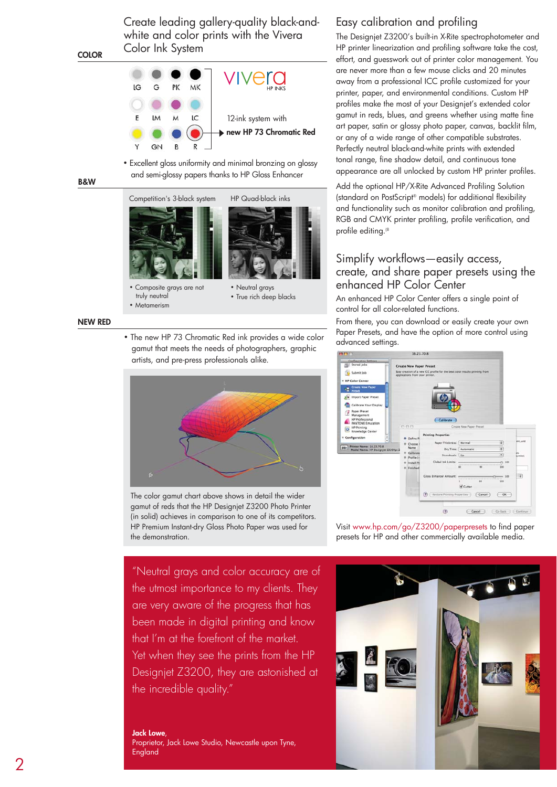Create leading gallery-quality black-andwhite and color prints with the Vivera Color Ink System



• Excellent gloss uniformity and minimal bronzing on glossy and semi-glossy papers thanks to HP Gloss Enhancer

B&W

**COLOR** 



 truly neutral • Metamerism



• True rich deep blacks

#### NEW RED

• The new HP 73 Chromatic Red ink provides a wide color gamut that meets the needs of photographers, graphic artists, and pre-press professionals alike.



The color gamut chart above shows in detail the wider gamut of reds that the HP Designjet Z3200 Photo Printer (in solid) achieves in comparison to one of its competitors. HP Premium Instant-dry Gloss Photo Paper was used for the demonstration.

"Neutral grays and color accuracy are of the utmost importance to my clients. They are very aware of the progress that has been made in digital printing and know that I'm at the forefront of the market. Yet when they see the prints from the HP Designjet Z3200, they are astonished at the incredible quality."

#### Jack Lowe,

Proprietor, Jack Lowe Studio, Newcastle upon Tyne, England

### Easy calibration and profiling

The Designjet Z3200's built-in X-Rite spectrophotometer and HP printer linearization and profiling software take the cost, effort, and guesswork out of printer color management. You are never more than a few mouse clicks and 20 minutes away from a professional ICC profile customized for your printer, paper, and environmental conditions. Custom HP profiles make the most of your Designjet's extended color gamut in reds, blues, and greens whether using matte fine art paper, satin or glossy photo paper, canvas, backlit film, or any of a wide range of other compatible substrates. Perfectly neutral black-and-white prints with extended tonal range, fine shadow detail, and continuous tone appearance are all unlocked by custom HP printer profiles.

Add the optional HP/X-Rite Advanced Profiling Solution (standard on PostScript® models) for additional flexibility and functionality such as monitor calibration and profiling, RGB and CMYK printer profiling, profile verification, and profile editing.<sup>(8</sup>

#### Simplify workflows—easily access, create, and share paper presets using the enhanced HP Color Center

An enhanced HP Color Center offers a single point of control for all color-related functions.

From there, you can download or easily create your own Paper Presets, and have the option of more control using advanced settings.



Visit www.hp.com/go/Z3200/paperpresets to find paper presets for HP and other commercially available media.

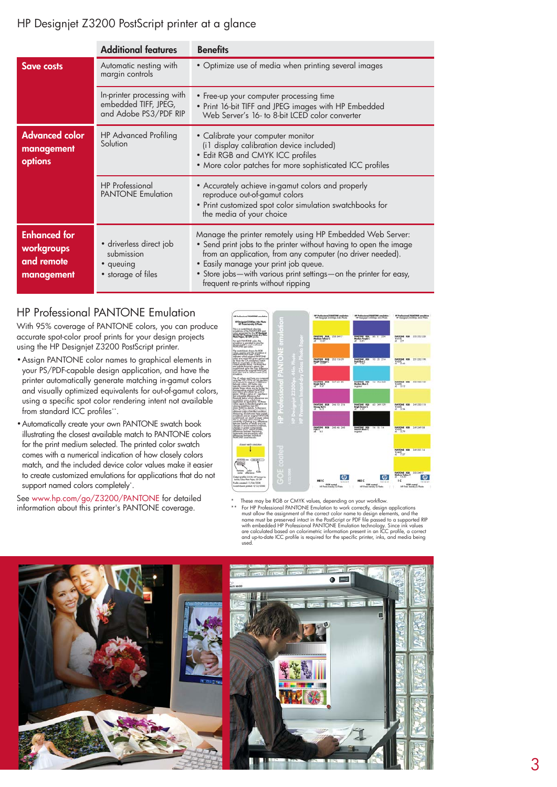## HP Designjet Z3200 PostScript printer at a glance

|                                                               | <b>Additional features</b>                                                  | <b>Benefits</b>                                                                                                                                                                                                                                                                                                                                  |
|---------------------------------------------------------------|-----------------------------------------------------------------------------|--------------------------------------------------------------------------------------------------------------------------------------------------------------------------------------------------------------------------------------------------------------------------------------------------------------------------------------------------|
| Save costs                                                    | Automatic nesting with<br>margin controls                                   | • Optimize use of media when printing several images                                                                                                                                                                                                                                                                                             |
|                                                               | In-printer processing with<br>embedded TIFF, JPEG,<br>and Adobe PS3/PDF RIP | • Free-up your computer processing time<br>• Print 16-bit TIFF and JPEG images with HP Embedded<br>Web Server's 16- to 8-bit LCED color converter                                                                                                                                                                                                |
| <b>Advanced color</b><br>management<br>options                | <b>HP Advanced Profiling</b><br>Solution                                    | • Calibrate your computer monitor<br>(i1 display calibration device included)<br>• Edit RGB and CMYK ICC profiles<br>• More color patches for more sophisticated ICC profiles                                                                                                                                                                    |
|                                                               | <b>HP</b> Professional<br><b>PANTONE Emulation</b>                          | • Accurately achieve in-gamut colors and properly<br>reproduce out-of-gamut colors<br>• Print customized spot color simulation swatchbooks for<br>the media of your choice                                                                                                                                                                       |
| <b>Enhanced</b> for<br>workgroups<br>and remote<br>management | · driverless direct job<br>submission<br>• queuing<br>• storage of files    | Manage the printer remotely using HP Embedded Web Server:<br>• Send print jobs to the printer without having to open the image<br>from an application, from any computer (no driver needed).<br>• Easily manage your print job queue.<br>• Store jobs-with various print settings-on the printer for easy,<br>frequent re-prints without ripping |

## HP Professional PANTONE Emulation

With 95% coverage of PANTONE colors, you can produce accurate spot-color proof prints for your design projects using the HP Designjet Z3200 PostScript printer.

- Assign PANTONE color names to graphical elements in your PS/PDF-capable design application, and have the printer automatically generate matching in-gamut colors and visually optimized equivalents for out-of-gamut colors, using a specific spot color rendering intent not available from standard ICC profiles\*\*.
- Automatically create your own PANTONE swatch book illustrating the closest available match to PANTONE colors for the print medium selected. The printed color swatch comes with a numerical indication of how closely colors match, and the included device color values make it easier to create customized emulations for applications that do not support named colors completely\* .

See www.hp.com/go/Z3200/PANTONE for detailed information about this printer's PANTONE coverage.



These may be RGB or CMYK values, depending on your workflow

\*\* For HP Professional PANTONE Emulation to work correctly, design applications<br>must allow the assignment of the correct color name to design elements, and the<br>name must be preserved intact in the PostScript or PDF file pa with embedded HP Professional PANTONE Emulation technology. Since ink values<br>are calculated based on colorimetric information present in an ICC profile, a correct<br>and up-to-date ICC profile is required for the specific pri used.